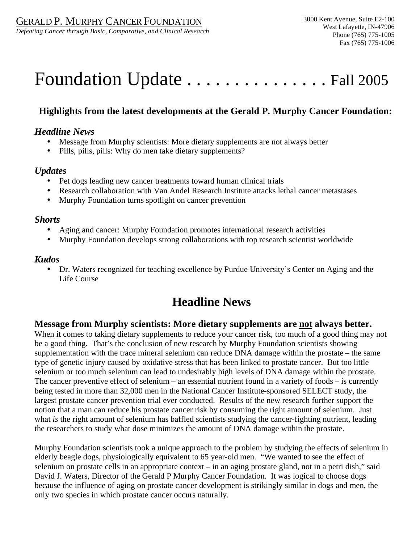*Defeating Cancer through Basic, Comparative, and Clinical Research* 

# Foundation Update . . . . . . . . . . . . . . . Fall 2005

# **Highlights from the latest developments at the Gerald P. Murphy Cancer Foundation:**

## *Headline News*

- Message from Murphy scientists: More dietary supplements are not always better
- Pills, pills, pills: Why do men take dietary supplements?

## *Updates*

- Pet dogs leading new cancer treatments toward human clinical trials
- Research collaboration with Van Andel Research Institute attacks lethal cancer metastases
- Murphy Foundation turns spotlight on cancer prevention

### *Shorts*

- Aging and cancer: Murphy Foundation promotes international research activities
- Murphy Foundation develops strong collaborations with top research scientist worldwide

## *Kudos*

• Dr. Waters recognized for teaching excellence by Purdue University's Center on Aging and the Life Course

# **Headline News**

# **Message from Murphy scientists: More dietary supplements are not always better.**

When it comes to taking dietary supplements to reduce your cancer risk, too much of a good thing may not be a good thing. That's the conclusion of new research by Murphy Foundation scientists showing supplementation with the trace mineral selenium can reduce DNA damage within the prostate – the same type of genetic injury caused by oxidative stress that has been linked to prostate cancer. But too little selenium or too much selenium can lead to undesirably high levels of DNA damage within the prostate. The cancer preventive effect of selenium – an essential nutrient found in a variety of foods – is currently being tested in more than 32,000 men in the National Cancer Institute-sponsored SELECT study, the largest prostate cancer prevention trial ever conducted. Results of the new research further support the notion that a man can reduce his prostate cancer risk by consuming the right amount of selenium. Just what *is* the right amount of selenium has baffled scientists studying the cancer-fighting nutrient, leading the researchers to study what dose minimizes the amount of DNA damage within the prostate.

Murphy Foundation scientists took a unique approach to the problem by studying the effects of selenium in elderly beagle dogs, physiologically equivalent to 65 year-old men. "We wanted to see the effect of selenium on prostate cells in an appropriate context – in an aging prostate gland, not in a petri dish," said David J. Waters, Director of the Gerald P Murphy Cancer Foundation. It was logical to choose dogs because the influence of aging on prostate cancer development is strikingly similar in dogs and men, the only two species in which prostate cancer occurs naturally.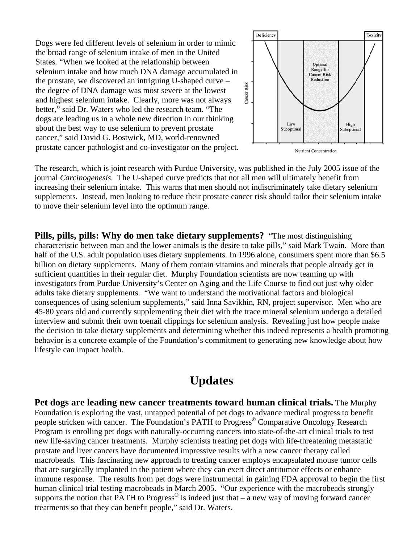prostate cancer pathologist and co-investigator on the project. Dogs were fed different levels of selenium in order to mimic the broad range of selenium intake of men in the United States. "When we looked at the relationship between selenium intake and how much DNA damage accumulated in the prostate, we discovered an intriguing U-shaped curve – the degree of DNA damage was most severe at the lowest and highest selenium intake. Clearly, more was not always better," said Dr. Waters who led the research team. "The dogs are leading us in a whole new direction in our thinking about the best way to use selenium to prevent prostate cancer," said David G. Bostwick, MD, world-renowned



The research, which is joint research with Purdue University, was published in the July 2005 issue of the journal *Carcinogenesis*. The U-shaped curve predicts that not all men will ultimately benefit from increasing their selenium intake. This warns that men should not indiscriminately take dietary selenium supplements. Instead, men looking to reduce their prostate cancer risk should tailor their selenium intake to move their selenium level into the optimum range.

**Pills, pills, pills: Why do men take dietary supplements?** "The most distinguishing characteristic between man and the lower animals is the desire to take pills," said Mark Twain. More than half of the U.S. adult population uses dietary supplements. In 1996 alone, consumers spent more than \$6.5 billion on dietary supplements. Many of them contain vitamins and minerals that people already get in sufficient quantities in their regular diet. Murphy Foundation scientists are now teaming up with investigators from Purdue University's Center on Aging and the Life Course to find out just why older adults take dietary supplements. "We want to understand the motivational factors and biological consequences of using selenium supplements," said Inna Savikhin, RN, project supervisor. Men who are 45-80 years old and currently supplementing their diet with the trace mineral selenium undergo a detailed interview and submit their own toenail clippings for selenium analysis. Revealing just how people make the decision to take dietary supplements and determining whether this indeed represents a health promoting behavior is a concrete example of the Foundation's commitment to generating new knowledge about how lifestyle can impact health.

# **Updates**

**Pet dogs are leading new cancer treatments toward human clinical trials.** The Murphy Foundation is exploring the vast, untapped potential of pet dogs to advance medical progress to benefit people stricken with cancer. The Foundation's PATH to Progress® Comparative Oncology Research Program is enrolling pet dogs with naturally-occurring cancers into state-of-the-art clinical trials to test new life-saving cancer treatments. Murphy scientists treating pet dogs with life-threatening metastatic prostate and liver cancers have documented impressive results with a new cancer therapy called macrobeads. This fascinating new approach to treating cancer employs encapsulated mouse tumor cells that are surgically implanted in the patient where they can exert direct antitumor effects or enhance immune response. The results from pet dogs were instrumental in gaining FDA approval to begin the first human clinical trial testing macrobeads in March 2005. "Our experience with the macrobeads strongly supports the notion that PATH to Progress<sup>®</sup> is indeed just that – a new way of moving forward cancer treatments so that they can benefit people," said Dr. Waters.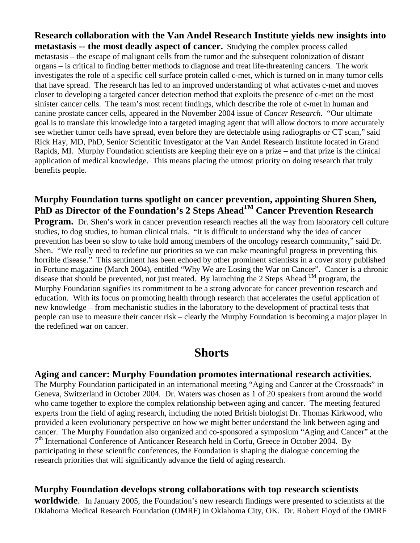**Research collaboration with the Van Andel Research Institute yields new insights into metastasis -- the most deadly aspect of cancer.** Studying the complex process called metastasis – the escape of malignant cells from the tumor and the subsequent colonization of distant organs – is critical to finding better methods to diagnose and treat life-threatening cancers. The work investigates the role of a specific cell surface protein called c-met, which is turned on in many tumor cells that have spread. The research has led to an improved understanding of what activates c-met and moves closer to developing a targeted cancer detection method that exploits the presence of c-met on the most sinister cancer cells. The team's most recent findings, which describe the role of c-met in human and canine prostate cancer cells, appeared in the November 2004 issue of *Cancer Research*. "Our ultimate goal is to translate this knowledge into a targeted imaging agent that will allow doctors to more accurately see whether tumor cells have spread, even before they are detectable using radiographs or CT scan," said Rick Hay, MD, PhD, Senior Scientific Investigator at the Van Andel Research Institute located in Grand Rapids, MI. Murphy Foundation scientists are keeping their eye on a prize – and that prize is the clinical application of medical knowledge. This means placing the utmost priority on doing research that truly benefits people.

# **Murphy Foundation turns spotlight on cancer prevention, appointing Shuren Shen, PhD as Director of the Foundation's 2 Steps Ahead<sup>TM</sup> Cancer Prevention Research**

**Program.** Dr. Shen's work in cancer prevention research reaches all the way from laboratory cell culture studies, to dog studies, to human clinical trials. "It is difficult to understand why the idea of cancer prevention has been so slow to take hold among members of the oncology research community," said Dr. Shen. "We really need to redefine our priorities so we can make meaningful progress in preventing this horrible disease." This sentiment has been echoed by other prominent scientists in a cover story published in Fortune magazine (March 2004), entitled "Why We are Losing the War on Cancer". Cancer is a chronic disease that should be prevented, not just treated. By launching the 2 Steps Ahead  $^{TM}$  program, the Murphy Foundation signifies its commitment to be a strong advocate for cancer prevention research and education. With its focus on promoting health through research that accelerates the useful application of new knowledge – from mechanistic studies in the laboratory to the development of practical tests that people can use to measure their cancer risk – clearly the Murphy Foundation is becoming a major player in the redefined war on cancer.

# **Shorts**

### **Aging and cancer: Murphy Foundation promotes international research activities.**

The Murphy Foundation participated in an international meeting "Aging and Cancer at the Crossroads" in Geneva, Switzerland in October 2004. Dr. Waters was chosen as 1 of 20 speakers from around the world who came together to explore the complex relationship between aging and cancer. The meeting featured experts from the field of aging research, including the noted British biologist Dr. Thomas Kirkwood, who provided a keen evolutionary perspective on how we might better understand the link between aging and cancer. The Murphy Foundation also organized and co-sponsored a symposium "Aging and Cancer" at the  $7<sup>th</sup>$  International Conference of Anticancer Research held in Corfu, Greece in October 2004. By participating in these scientific conferences, the Foundation is shaping the dialogue concerning the research priorities that will significantly advance the field of aging research.

# **Murphy Foundation develops strong collaborations with top research scientists**

**worldwide**. In January 2005, the Foundation's new research findings were presented to scientists at the Oklahoma Medical Research Foundation (OMRF) in Oklahoma City, OK. Dr. Robert Floyd of the OMRF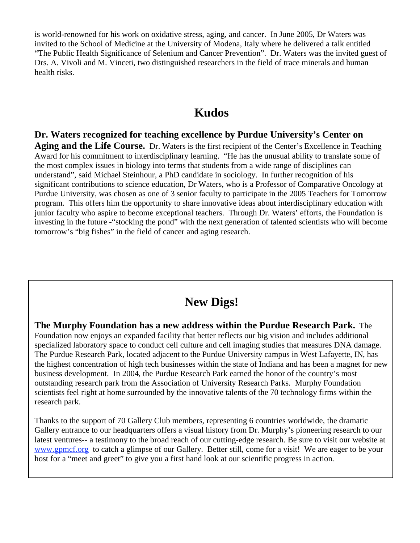is world-renowned for his work on oxidative stress, aging, and cancer. In June 2005, Dr Waters was invited to the School of Medicine at the University of Modena, Italy where he delivered a talk entitled "The Public Health Significance of Selenium and Cancer Prevention". Dr. Waters was the invited guest of Drs. A. Vivoli and M. Vinceti, two distinguished researchers in the field of trace minerals and human health risks.

# **Kudos**

## **Dr. Waters recognized for teaching excellence by Purdue University's Center on**

**Aging and the Life Course.** Dr. Waters is the first recipient of the Center's Excellence in Teaching Award for his commitment to interdisciplinary learning. "He has the unusual ability to translate some of the most complex issues in biology into terms that students from a wide range of disciplines can understand", said Michael Steinhour, a PhD candidate in sociology. In further recognition of his significant contributions to science education, Dr Waters, who is a Professor of Comparative Oncology at Purdue University, was chosen as one of 3 senior faculty to participate in the 2005 Teachers for Tomorrow program. This offers him the opportunity to share innovative ideas about interdisciplinary education with junior faculty who aspire to become exceptional teachers. Through Dr. Waters' efforts, the Foundation is investing in the future -"stocking the pond" with the next generation of talented scientists who will become tomorrow's "big fishes" in the field of cancer and aging research.

# **New Digs!**

**The Murphy Foundation has a new address within the Purdue Research Park.** The Foundation now enjoys an expanded facility that better reflects our big vision and includes additional specialized laboratory space to conduct cell culture and cell imaging studies that measures DNA damage. The Purdue Research Park, located adjacent to the Purdue University campus in West Lafayette, IN, has the highest concentration of high tech businesses within the state of Indiana and has been a magnet for new business development. In 2004, the Purdue Research Park earned the honor of the country's most outstanding research park from the Association of University Research Parks. Murphy Foundation scientists feel right at home surrounded by the innovative talents of the 70 technology firms within the research park.

Thanks to the support of 70 Gallery Club members, representing 6 countries worldwide, the dramatic Gallery entrance to our headquarters offers a visual history from Dr. Murphy's pioneering research to our latest ventures-- a testimony to the broad reach of our cutting-edge research. Be sure to visit our website at www.gpmcf.org to catch a glimpse of our Gallery. Better still, come for a visit! We are eager to be your host for a "meet and greet" to give you a first hand look at our scientific progress in action.